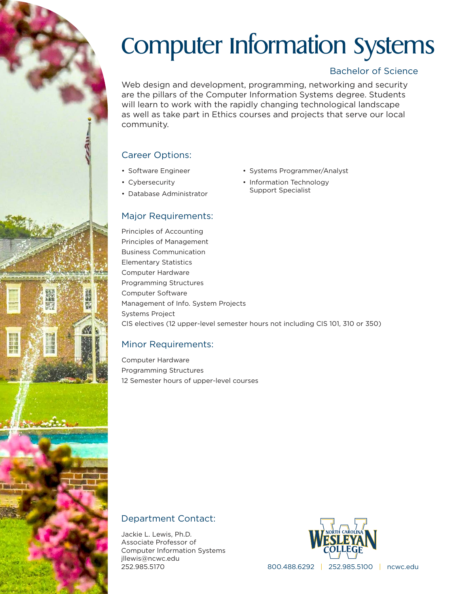# Computer Information Systems

## Bachelor of Science

Web design and development, programming, networking and security are the pillars of the Computer Information Systems degree. Students will learn to work with the rapidly changing technological landscape as well as take part in Ethics courses and projects that serve our local community.

# Career Options:

- Software Engineer
- Cybersecurity
- Database Administrator

## Major Requirements:

Principles of Accounting Principles of Management Business Communication Elementary Statistics Computer Hardware Programming Structures Computer Software Management of Info. System Projects Systems Project CIS electives (12 upper-level semester hours not including CIS 101, 310 or 350)

# Minor Requirements:

Computer Hardware Programming Structures 12 Semester hours of upper-level courses

- Systems Programmer/Analyst
- Information Technology Support Specialist

Department Contact:

Jackie L. Lewis, Ph.D. Associate Professor of Computer Information Systems jllewis@ncwc.edu 252.985.5170



800.488.6292 | 252.985.5100 | ncwc.edu